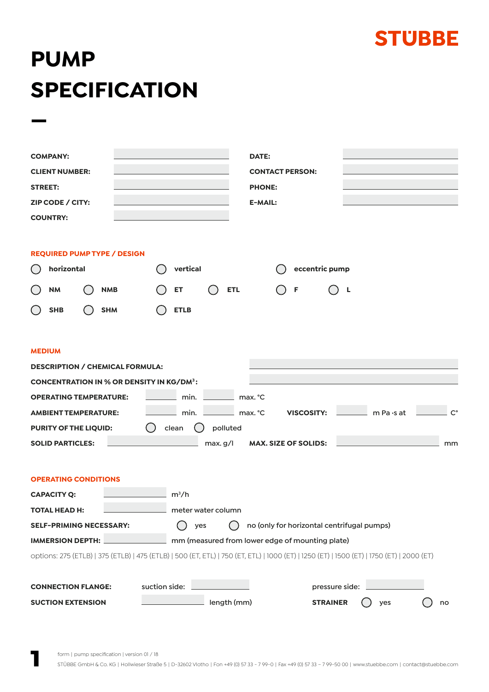

## **PUMP SPECIFICATION**

| <b>COMPANY:</b>                                                                                                                           | DATE:                                           |                                            |                   |             |  |  |
|-------------------------------------------------------------------------------------------------------------------------------------------|-------------------------------------------------|--------------------------------------------|-------------------|-------------|--|--|
| <b>CLIENT NUMBER:</b>                                                                                                                     |                                                 | <b>CONTACT PERSON:</b>                     |                   |             |  |  |
| <b>STREET:</b>                                                                                                                            | <b>PHONE:</b>                                   |                                            |                   |             |  |  |
| ZIP CODE / CITY:                                                                                                                          | <b>E-MAIL:</b>                                  |                                            |                   |             |  |  |
| <b>COUNTRY:</b>                                                                                                                           |                                                 |                                            |                   |             |  |  |
|                                                                                                                                           |                                                 |                                            |                   |             |  |  |
| <b>REQUIRED PUMP TYPE / DESIGN</b>                                                                                                        |                                                 |                                            |                   |             |  |  |
| horizontal                                                                                                                                | vertical                                        | eccentric pump                             |                   |             |  |  |
| <b>NM</b><br><b>NMB</b>                                                                                                                   | ET<br><b>ETL</b>                                | F                                          | L                 |             |  |  |
| <b>SHB</b><br><b>SHM</b>                                                                                                                  | <b>ETLB</b>                                     |                                            |                   |             |  |  |
|                                                                                                                                           |                                                 |                                            |                   |             |  |  |
|                                                                                                                                           |                                                 |                                            |                   |             |  |  |
| <b>MEDIUM</b>                                                                                                                             |                                                 |                                            |                   |             |  |  |
| <b>DESCRIPTION / CHEMICAL FORMULA:</b>                                                                                                    |                                                 |                                            |                   |             |  |  |
| <b>CONCENTRATION IN % OR DENSITY IN KG/DM3:</b><br><b>OPERATING TEMPERATURE:</b>                                                          | min.                                            |                                            |                   |             |  |  |
|                                                                                                                                           | max. °C                                         |                                            |                   | $C^{\circ}$ |  |  |
| <b>AMBIENT TEMPERATURE:</b>                                                                                                               | min.<br>max. °C                                 | <b>VISCOSITY:</b>                          | m Pa $\cdot$ s at |             |  |  |
| polluted<br><b>PURITY OF THE LIQUID:</b><br>clean<br><b>SOLID PARTICLES:</b><br><b>MAX. SIZE OF SOLIDS:</b><br>max. g/l<br>mm             |                                                 |                                            |                   |             |  |  |
|                                                                                                                                           |                                                 |                                            |                   |             |  |  |
|                                                                                                                                           |                                                 |                                            |                   |             |  |  |
| <b>OPERATING CONDITIONS</b>                                                                                                               |                                                 |                                            |                   |             |  |  |
| <b>CAPACITY Q:</b>                                                                                                                        | $m^3/h$                                         |                                            |                   |             |  |  |
| <b>TOTAL HEAD H:</b>                                                                                                                      | meter water column                              |                                            |                   |             |  |  |
| <b>SELF-PRIMING NECESSARY:</b>                                                                                                            | yes                                             | no (only for horizontal centrifugal pumps) |                   |             |  |  |
| <b>IMMERSION DEPTH:</b>                                                                                                                   | mm (measured from lower edge of mounting plate) |                                            |                   |             |  |  |
| options: 275 (ETLB)   375 (ETLB)   475 (ETLB)   500 (ET, ETL)   750 (ET, ETL)   1000 (ET)   1250 (ET)   1500 (ET)   1750 (ET)   2000 (ET) |                                                 |                                            |                   |             |  |  |
| suction side:<br><b>CONNECTION FLANGE:</b>                                                                                                |                                                 | pressure side:                             |                   |             |  |  |
| <b>SUCTION EXTENSION</b>                                                                                                                  | length (mm)                                     | <b>STRAINER</b>                            | yes               | no          |  |  |
|                                                                                                                                           |                                                 |                                            |                   |             |  |  |